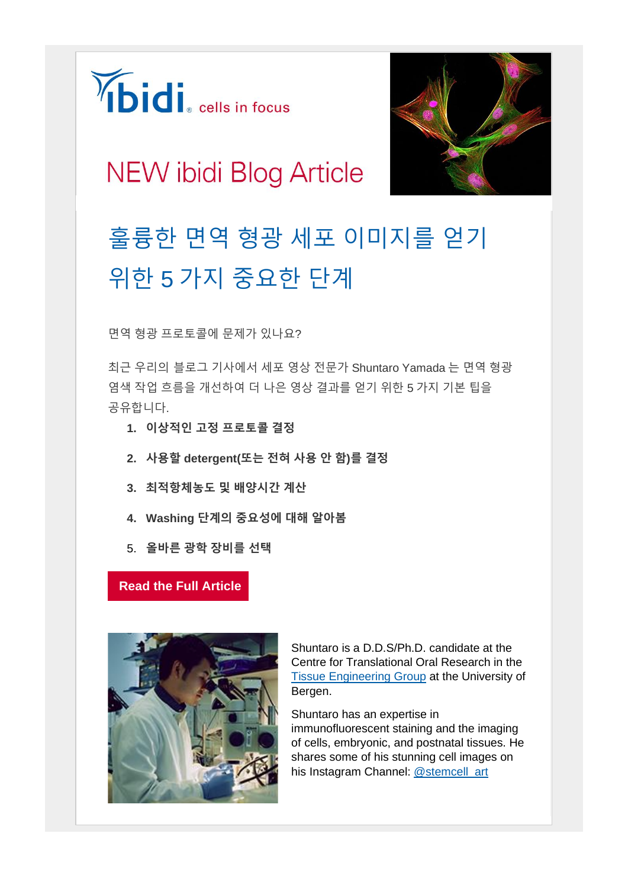



## **NEW ibidi Blog Article**

## 훌륭한 면역 형광 세포 이미지를 얻기 위한 5 가지 중요한 단계

면역 형광 프로토콜에 문제가 있나요?

최근 우리의 블로그 기사에서 세포 영상 전문가 Shuntaro Yamada 는 면역 형광 염색 작업 흐름을 개선하여 더 나은 영상 결과를 얻기 위한 5 가지 기본 팁을 공유합니다.

- **1. 이상적인 고정 프로토콜 결정**
- **2. 사용할 detergent(또는 전혀 사용 안 함)를 결정**
- **3. 최적항체농도 및 배양시간 계산**
- **4. Washing 단계의 중요성에 대해 알아봄**
- 5. **올바른 광학 장비를 선택**

## **[Read the Full Article](https://ibidi.com/5-crucial-steps)**



Shuntaro is a D.D.S/Ph.D. candidate at the Centre for Translational Oral Research in the [Tissue Engineering Group](https://tissueengineering.no/) at the University of Bergen.

Shuntaro has an expertise in immunofluorescent staining and the imaging of cells, embryonic, and postnatal tissues. He shares some of his stunning cell images on his Instagram Channel: [@stemcell\\_art](https://www.instagram.com/stemcell_art/)